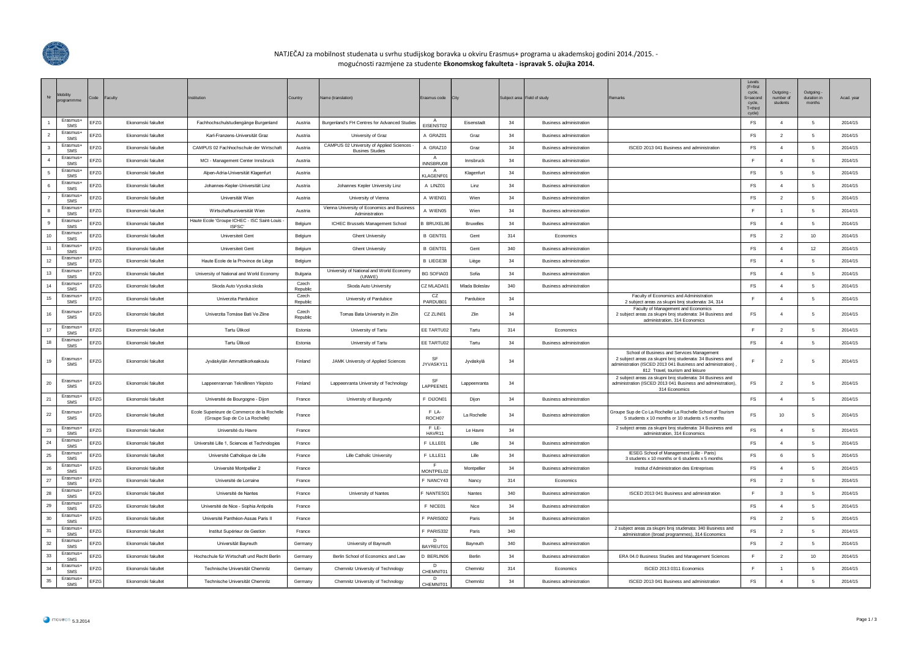

## NATJEČAJ za mobilnost studenata u svrhu studijskog boravka u okviru Erasmus+ programa u akademskoj godini 2014./2015. mogućnosti razmjene za studente **Ekonomskog fakulteta - ispravak 5. ožujka 2014.**

| Nr                      | <b>Mobility</b><br>programmme | Code | Faculty                   | nstitution                                                                    | Country           | Name (translation)                                                 | Erasmus code                | City             |     | Subject area Field of study    | Remarks                                                                                                                                                                                                    | Levels<br>$(F = first)$<br>cycle.<br>S=second<br>cycle,<br>$T =$ third<br>cycle) | Outgoing -<br>number of<br>students | Outgoing<br>duration in<br>months | Acad. year |
|-------------------------|-------------------------------|------|---------------------------|-------------------------------------------------------------------------------|-------------------|--------------------------------------------------------------------|-----------------------------|------------------|-----|--------------------------------|------------------------------------------------------------------------------------------------------------------------------------------------------------------------------------------------------------|----------------------------------------------------------------------------------|-------------------------------------|-----------------------------------|------------|
| $\overline{1}$          | Erasmus+<br><b>SMS</b>        | FF7G | Fkonomski fakultet        | Fachhochschulstudiengänge Burgenland                                          | Austria           | Burgenland's FH Centres for Advanced Studies                       | EISENST02                   | Fisenstadt       | 34  | <b>Business administration</b> |                                                                                                                                                                                                            | FS                                                                               | $\overline{4}$                      | - 5                               | 2014/15    |
| $\overline{2}$          | Erasmus+<br>SMS               | EFZG | Ekonomski fakultet        | Karl-Franzens-Universität Graz                                                | Austria           | University of Graz                                                 | A GRAZ01                    | Graz             | 34  | Business administration        |                                                                                                                                                                                                            | <b>FS</b>                                                                        | $\overline{2}$                      | 5                                 | 2014/15    |
| $\overline{\mathbf{3}}$ | Erasmus-<br>SMS               | EFZG | Ekonomski fakultet        | CAMPUS 02 Fachhochschule der Wirtschaft                                       | Austria           | CAMPUS 02 University of Applied Sciences<br><b>Busines Studies</b> | A GRAZ10                    | Graz             | 34  | <b>Business administration</b> | ISCED 2013 041 Business and administration                                                                                                                                                                 | FS                                                                               | $\overline{4}$                      | 5                                 | 2014/15    |
| $\overline{4}$          | Erasmus+<br>SMS               | EFZG | Ekonomski fakultet        | MCI - Management Center Innsbruck                                             | Austria           |                                                                    | $\overline{A}$<br>INNSBRU08 | Innsbruck        | 34  | <b>Business administration</b> |                                                                                                                                                                                                            | F.                                                                               | $\overline{4}$                      | -5                                | 2014/15    |
| -5                      | Erasmus+<br>SMS               | EFZG | Ekonomski fakultet        | Alpen-Adria-Universität Klagenfurt                                            | Austria           |                                                                    | $\mathsf{A}$<br>KLAGENF01   | Klagenfurt       | 34  | <b>Business administration</b> |                                                                                                                                                                                                            | <b>FS</b>                                                                        | -5                                  | 5                                 | 2014/15    |
| 6                       | Erasmus+<br>SMS               | EFZG | Fkonomski fakultet        | Johannes-Keoler-Universität Linz                                              | Austria           | Johannes Kepler University Linz                                    | A LINZ01                    | I inz            | 34  | <b>Business administration</b> |                                                                                                                                                                                                            | <b>FS</b>                                                                        | $\Delta$                            | 5                                 | 2014/15    |
|                         | Erasmus-<br>SMS               | EFZG | Ekonomski fakultet        | Universität Wien                                                              | Austria           | University of Vienna                                               | A WIEN01                    | Wien             | 34  | <b>Business administration</b> |                                                                                                                                                                                                            | FS                                                                               | $\overline{2}$                      | $5\phantom{.0}$                   | 2014/15    |
|                         | Erasmus+<br>SMS               | EFZG | Ekonomski fakultet        | Wirtschaftsuniversität Wien                                                   | Austria           | Vienna University of Economics and Business<br>Administration      | A WIEN05                    | Wien             | 34  | <b>Business administration</b> |                                                                                                                                                                                                            | F.                                                                               | $\overline{1}$                      | 5                                 | 2014/15    |
| $\mathbf{q}$            | Erasmus+<br>SMS               | EFZG | Fkonomski fakultet        | Haute Ecole 'Groupe ICHEC - ISC Saint-Louis<br>ISFSC'                         | Belgium           | ICHEC Brussels Management School                                   | <b>B BRUXEL86</b>           | <b>Bruxelles</b> | 34  | <b>Business administration</b> |                                                                                                                                                                                                            | <b>FS</b>                                                                        | $\overline{4}$                      | -5                                | 2014/15    |
| 10                      | Erasmus-<br>SMS               | EFZG | Ekonomski fakultet        | Universiteit Gent                                                             | Belgium           | <b>Ghent University</b>                                            | <b>B GENT01</b>             | Gent             | 314 | Economics                      |                                                                                                                                                                                                            | FS                                                                               | $\overline{2}$                      | 10                                | 2014/15    |
|                         | Erasmus-<br>SMS               | EFZG | Ekonomski fakultet        | Universiteit Gent                                                             | Belgium           | <b>Ghent University</b>                                            | B GENT01                    | Gent             | 340 | <b>Business administration</b> |                                                                                                                                                                                                            | FS                                                                               | $\overline{4}$                      | 12                                | 2014/15    |
| 12                      | Erasmus+<br>SMS               | EFZG | Ekonomski fakultet        | Haute Ecole de la Province de Liège                                           | Belgium           |                                                                    | B LIEGE38                   | Liège            | 34  | <b>Business administration</b> |                                                                                                                                                                                                            | <b>FS</b>                                                                        | $\overline{4}$                      | -5                                | 2014/15    |
| 13                      | Erasmus+<br>SMS               | EFZG | Ekonomski fakultet        | University of National and World Economy                                      | Bulgaria          | University of National and World Economy<br>(UNWE)                 | <b>BG SOFIA03</b>           | Sofia            | 34  | Business administration        |                                                                                                                                                                                                            | <b>FS</b>                                                                        | $\overline{4}$                      | 5                                 | 2014/15    |
| 14                      | Erasmus+<br><b>SMS</b>        | EFZG | <b>Ekonomski fakultet</b> | Skoda Auto Vysoka skola                                                       | Czech<br>Republic | Skoda Auto University                                              | CZ MI ADA01                 | Mlada Boleslay   | 340 | <b>Business administration</b> |                                                                                                                                                                                                            | <b>FS</b>                                                                        | $\overline{4}$                      | 5                                 | 2014/15    |
| 15                      | Erasmus+<br>SMS               | EFZG | Ekonomski fakultet        | Univerzita Pardubice                                                          | Czech<br>Republic | University of Pardubice                                            | CZ<br>PARDUB01              | Pardubice        | 34  |                                | Faculty of Economics and Administration<br>2 subiect areas za skupni broi studenata: 34, 314                                                                                                               | F.                                                                               | $\overline{4}$                      | 5                                 | 2014/15    |
| 16                      | Erasmus+<br>SMS               | EFZG | Ekonomski fakultet        | Univerzita Tomáse Bati Ve Zline                                               | Czech<br>Republic | Tomas Bata University in Zlín                                      | CZ ZLIN01                   | Zlin             | 34  |                                | Faculty of Management and Economics<br>2 subject areas za skupni broj studenata: 34 Business and<br>administration, 314 Economics                                                                          | <b>FS</b>                                                                        | $\overline{4}$                      | 5                                 | 2014/15    |
| 17                      | Erasmus+<br>SMS               | EFZG | Ekonomski fakultet        | Tartu Ülikool                                                                 | Estonia           | University of Tartu                                                | EE TARTU02                  | Tartu            | 314 | Economics                      |                                                                                                                                                                                                            | F                                                                                | $\overline{2}$                      | 5                                 | 2014/15    |
| 18                      | Erasmus+<br>SMS               | EFZG | Ekonomski fakultet        | Tartu Ülikool                                                                 | Estonia           | University of Tartu                                                | EE TARTU02                  | Tartu            | 34  | <b>Business administration</b> |                                                                                                                                                                                                            | <b>FS</b>                                                                        | $\overline{4}$                      | -5                                | 2014/15    |
| 19                      | Erasmus+<br><b>SMS</b>        | EFZG | Ekonomski fakultet        | Jyväskylän Ammattikorkeakoulu                                                 | Finland           | JAMK University of Applied Sciences                                | SE<br>JYVASKY11             | Jyväskylä        | 34  |                                | School of Business and Services Management<br>2 subject areas za skupni broj studenata: 34 Business and<br>administration (ISCED 2013 041 Business and administration).<br>812 Travel, tourism and leisure | F.                                                                               | $\overline{2}$                      | 5                                 | 2014/15    |
| 20                      | Erasmus+<br>SMS               | EFZG | Ekonomski fakultet        | Lappeenrannan Teknillinen Yliopisto                                           | Finland           | Lappeenranta University of Technology                              | <b>SF</b><br>LAPPEEN01      | Lappeenranta     | 34  |                                | 2 subject areas za skupni broj studenata: 34 Business and<br>administration (ISCED 2013 041 Business and administration).<br>314 Economics                                                                 | <b>FS</b>                                                                        | $\overline{2}$                      | 5                                 | 2014/15    |
| 21                      | Erasmus-<br>SMS               | EFZG | Ekonomski fakultet        | Université de Bourgogne - Dijon                                               | France            | University of Burgundy                                             | F DIJON01                   | Dijon            | 34  | Business administration        |                                                                                                                                                                                                            | FS                                                                               | $\overline{4}$                      | - 5                               | 2014/15    |
| 22                      | Erasmus+<br>SMS               | EFZG | Ekonomski fakultet        | Ecole Superieure de Commerce de la Rochelle<br>(Groupe Sup de Co La Rochelle) | France            |                                                                    | F LA-<br>ROCH07             | La Rochelle      | 34  | Business administration        | Groupe Sup de Co La Rochelle/ La Rochelle School of Tourism<br>5 students x 10 months or 10 students x 5 months                                                                                            | <b>FS</b>                                                                        | 10                                  | 5                                 | 2014/15    |
| 23                      | Erasmus-<br>SMS               | EFZG | Ekonomski fakultet        | Université du Havre                                                           | France            |                                                                    | F LE-<br>HAVR11             | Le Havre         | 34  |                                | 2 subject areas za skupni broj studenata: 34 Business and<br>administration, 314 Economics                                                                                                                 | FS                                                                               | $\overline{4}$                      | 5                                 | 2014/15    |
| 24                      | Erasmus+<br><b>SMS</b>        | EFZG | Fkonomski fakultet        | Université Lille 1. Sciences et Technologies                                  | France            |                                                                    | F LILLE01                   | Lille            | 34  | <b>Business administration</b> |                                                                                                                                                                                                            | FS                                                                               | $\overline{4}$                      | - 5                               | 2014/15    |
| 25                      | Erasmus+<br>SMS               | EFZG | Ekonomski fakultet        | Université Catholique de Lille                                                | France            | Lille Catholic University                                          | F LILLE11                   | Lille            | 34  | Business administration        | IESEG School of Management (Lille - Paris)<br>3 students x 10 months or 6 students x 5 months                                                                                                              | FS                                                                               | -6                                  | 5                                 | 2014/15    |
| 26                      | Erasmus+<br>SMS               | EFZG | Ekonomski fakultet        | Université Montpellier 2                                                      | France            |                                                                    | MONTPEL02                   | Montpellier      | 34  | <b>Business administration</b> | Institut d'Administration des Entreprises                                                                                                                                                                  | FS                                                                               | $\overline{4}$                      | 5                                 | 2014/15    |
| 27                      | Erasmus-<br>SMS               | EFZG | Ekonomski fakultet        | Université de Lorraine                                                        | France            |                                                                    | NANCY43                     | Nancy            | 314 | Economics                      |                                                                                                                                                                                                            | FS                                                                               | $\overline{2}$                      | 5                                 | 2014/15    |
| 28                      | Erasmus+<br>SMS               | EFZG | Ekonomski fakultet        | Université de Nantes                                                          | France            | University of Nantes                                               | NANTES01                    | Nantes           | 340 | <b>Business administration</b> | ISCED 2013 041 Business and administration                                                                                                                                                                 | F.                                                                               | 3                                   | 5                                 | 2014/15    |
| 29                      | Erasmus+<br>SMS               | EFZG | Fkonomski fakultet        | Université de Nice - Sophia Antipolis                                         | France            |                                                                    | F NICE01                    | Nice             | 34  | <b>Business administration</b> |                                                                                                                                                                                                            | <b>FS</b>                                                                        | $\overline{4}$                      | -5                                | 2014/15    |
| 30                      | Erasmus+<br>SMS               | EFZG | Ekonomski fakultet        | Université Panthéon-Assas Paris II                                            | France            |                                                                    | F PARIS002                  | Paris            | 34  | <b>Business administration</b> |                                                                                                                                                                                                            | $\mathsf{FS}$                                                                    | $\overline{2}$                      | $5\phantom{.0}$                   | 2014/15    |
| 31                      | Erasmus+<br>SMS               | EFZG | Ekonomski fakultet        | Institut Supérieur de Gestion                                                 | France            |                                                                    | F PARIS332<br>$\sqrt{2}$    | Paris            | 340 |                                | 2 subject areas za skupni broj studenata: 340 Business and<br>administration (broad programmes), 314 Economics                                                                                             | $\mathop{\textsf{FS}}$                                                           | $\overline{2}$                      | -5                                | 2014/15    |
| 32                      | Erasmus+<br>SMS               | EFZG | Ekonomski fakultet        | Universität Bavreuth                                                          | Germany           | University of Bayreuth                                             | BAYREUT01                   | Bavreuth         | 340 | <b>Business administration</b> |                                                                                                                                                                                                            | <b>FS</b>                                                                        | $\overline{2}$                      | -5                                | 2014/15    |
| 33                      | Erasmus-<br>SMS               | EFZG | Ekonomski fakultet        | Hochschule für Wirtschaft und Recht Berlin                                    | Germany           | Berlin School of Economics and Law                                 | D BERLIN06                  | Berlin           | 34  | Business administration        | ERA 04.0 Business Studies and Management Sciences                                                                                                                                                          | F.                                                                               | $\overline{2}$                      | 10                                | 2014/15    |
| 34                      | <b>Frasmus+</b><br>SMS        | FZG  | Ekonomski fakultet        | Technische Universität Chemnitz                                               | Germany           | Chemnitz University of Technology                                  | D.<br>CHEMNIT01             | Chemnitz         | 314 | Economics                      | ISCED 2013 0311 Economics                                                                                                                                                                                  | F                                                                                | $\overline{1}$                      | 5                                 | 2014/15    |
| 35                      | Erasmus+<br>SMS               | EFZG | Ekonomski fakultet        | Technische Universität Chemnitz                                               | Germany           | Chemnitz University of Technology                                  | D<br>CHEMNIT01              | Chemnitz         | 34  | <b>Business administration</b> | ISCED 2013 041 Business and administration                                                                                                                                                                 | FS                                                                               | $\overline{4}$                      | 5                                 | 2014/15    |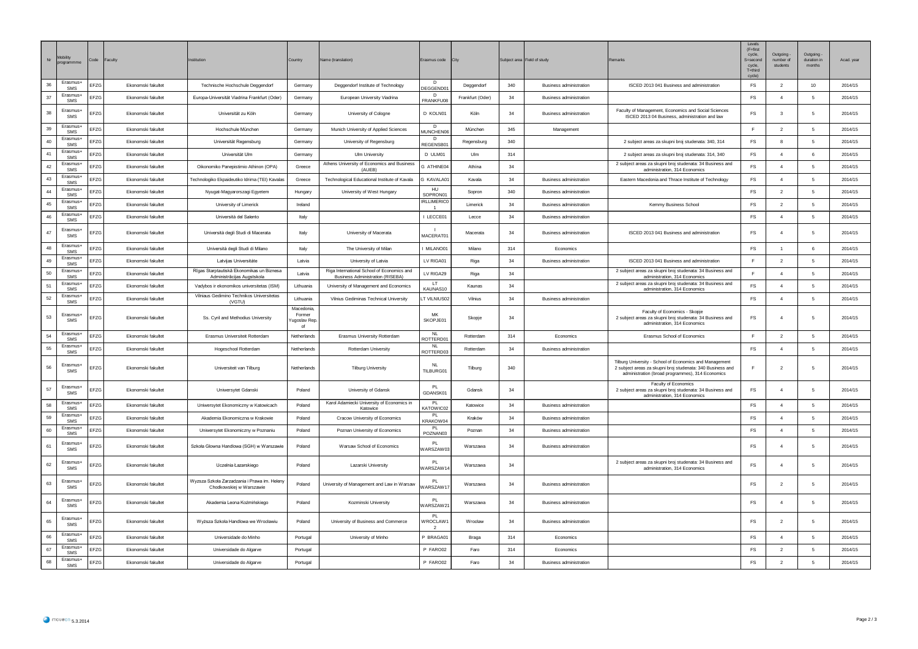| Nr | Mobility<br>programmm  | Code | Faculty            | nstitution                                                               | Country                                    | Name (translation)                                                                    | Erasmus code City                    |                  |     | Subject area Field of study    | Remarks                                                                                                                                                                   | I evels<br>$(F = first)$<br>cycle,<br>S=second<br>cycle,<br>T=third<br>cycle) | Outgoing<br>number of<br>students | Outgoing<br>duration in<br>months | Acad. year |
|----|------------------------|------|--------------------|--------------------------------------------------------------------------|--------------------------------------------|---------------------------------------------------------------------------------------|--------------------------------------|------------------|-----|--------------------------------|---------------------------------------------------------------------------------------------------------------------------------------------------------------------------|-------------------------------------------------------------------------------|-----------------------------------|-----------------------------------|------------|
| 36 | Erasmus+<br>SMS        | EFZG | Ekonomski fakultet | Technische Hochschule Deggendorf                                         | Germany                                    | Deggendorf Institute of Technology                                                    | D<br>DEGGEND01                       | Deggendorf       | 340 | <b>Business administration</b> | ISCED 2013 041 Business and administration                                                                                                                                | FS                                                                            | $\overline{2}$                    | 10                                | 2014/15    |
| 37 | <b>Frasmus+</b><br>SMS | EFZG | Ekonomski fakultet | Europa-Universität Viadrina Frankfurt (Oder)                             | Germany                                    | European University Viadrina                                                          | n<br>FRANKFU08                       | Frankfurt (Oder) | 34  | <b>Business administration</b> |                                                                                                                                                                           | FS                                                                            | $\overline{4}$                    | 5                                 | 2014/15    |
| 38 | Erasmus+<br>SMS        | EFZG | Ekonomski fakultet | Universität zu Köln                                                      | Germany                                    | University of Cologne                                                                 | D KOLN01                             | Köln             | 34  | <b>Business administration</b> | Faculty of Management, Economics and Social Sciences<br>ISCED 2013 04 Business, administration and law                                                                    | FS                                                                            | $\mathbf{3}$                      | 5                                 | 2014/15    |
| 39 | Erasmus<br><b>SMS</b>  | EFZG | Ekonomski fakultet | Hochschule München                                                       | Germany                                    | Munich University of Applied Sciences                                                 | D.<br><b>MUNCHEN06</b>               | Müncher          | 345 | Management                     |                                                                                                                                                                           | F.                                                                            | $\overline{2}$                    | 5                                 | 2014/15    |
| 40 | Erasmus+<br>SMS        | EFZG | Ekonomski fakultet | Universität Regensburg                                                   | Germany                                    | University of Regensburg                                                              | D<br>REGENSB01                       | Regensburg       | 340 |                                | 2 subject areas za skupni broj studenata: 340, 314                                                                                                                        | <b>FS</b>                                                                     | 8                                 | -5                                | 2014/15    |
| 41 | Erasmus+<br>SMS        | EFZG | Ekonomski fakultet | Universität Ulm                                                          | Germany                                    | Ulm University                                                                        | D ULM01                              | Ulm              | 314 |                                | 2 subject areas za skupni broj studenata: 314, 340                                                                                                                        | FS                                                                            | $\overline{4}$                    | 6                                 | 2014/15    |
| 42 | Erasmus+<br>SMS        | EFZG | Ekonomski fakultet | Oikonomiko Panepistimio Athinon (OPA)                                    | Greece                                     | Athens University of Economics and Business<br>(AUFB)                                 | G ATHINE04                           | Athina           | 34  |                                | 2 subject areas za skupni broj studenata: 34 Business and<br>administration, 314 Economics                                                                                | FS                                                                            | $\overline{4}$                    | 5                                 | 2014/15    |
| 43 | Erasmus-<br>SMS        | EFZG | Ekonomski fakultet | Fechnologiko Ekpaideutiko Idrima (TEI) Kavalas                           | Greece                                     | Technological Educational Institute of Kavala                                         | <b>G KAVALA01</b>                    | Kavala           | 34  | <b>Business administration</b> | Eastern Macedonia and Thrace Institute of Technology                                                                                                                      | FS                                                                            | $\overline{4}$                    | 5                                 | 2014/15    |
| 44 | <b>Frasmus+</b><br>SMS | EFZG | Ekonomski fakultet | Nyugat-Magyarorszagi Egyetem                                             | Hungary                                    | University of West Hungary                                                            | HU<br>SOPRON01                       | Sopron           | 340 | <b>Business administration</b> |                                                                                                                                                                           | FS                                                                            | $\overline{2}$                    | 5                                 | 2014/15    |
| 45 | Erasmus-<br>SMS        | EFZG | Ekonomski fakultet | University of Limerick                                                   | Ireland                                    |                                                                                       | <b>IRLLIMERICO</b><br>$\overline{1}$ | Limerick         | 34  | <b>Business administration</b> | Kemmy Business School                                                                                                                                                     | FS                                                                            | $\overline{2}$                    | 5                                 | 2014/15    |
| 46 | Erasmus-<br>SMS        | FZG  | Ekonomski fakultet | Università del Salento                                                   | Italy                                      |                                                                                       | I LECCE01                            | Lecce            | 34  | <b>Business administration</b> |                                                                                                                                                                           | FS                                                                            | $\overline{4}$                    | 5                                 | 2014/15    |
| 47 | Erasmus+<br>SMS        | EFZG | Ekonomski fakultet | Università degli Studi di Macerata                                       | Italy                                      | University of Macerata                                                                | $\blacksquare$<br>MACERAT01          | Macerata         | 34  | <b>Business administration</b> | ISCED 2013 041 Business and administration                                                                                                                                | FS                                                                            | $\overline{4}$                    | 5                                 | 2014/15    |
| 48 | Frasmus+<br>SMS        | EFZG | Ekonomski fakultet | Università degli Studi di Milano                                         | Italy                                      | The University of Milan                                                               | MILANO01                             | Milano           | 314 | Economics                      |                                                                                                                                                                           | FS                                                                            | $\overline{1}$                    | 6                                 | 2014/15    |
| 49 | Erasmus+<br>SMS        | EFZG | Ekonomski fakultet | Latvijas Universitáte                                                    | Latvia                                     | University of Latvia                                                                  | LV RIGA01                            | Riga             | 34  | <b>Business administration</b> | ISCED 2013 041 Business and administration                                                                                                                                | E                                                                             | $\overline{2}$                    | 5                                 | 2014/15    |
| 50 | Erasmus+<br>SMS        | EFZG | Ekonomski fakultet | Rîgas Starptautiskâ Ekonomikas un Biznesa<br>Administrācijas Augstskola  | Latvia                                     | Riga International School of Economics and<br><b>Business Administration (RISEBA)</b> | LV RIGA29                            | Riga             | 34  |                                | 2 subject areas za skupni broj studenata: 34 Business and<br>administration, 314 Economics                                                                                | E                                                                             | $\overline{4}$                    | 5                                 | 2014/15    |
| 51 | Erasmus+<br>SMS        | EFZG | Ekonomski fakultet | Vadybos ir ekonomikos universitetas (ISM)                                | Lithuania                                  | University of Management and Economics                                                | LT.<br>KAUNAS10                      | Kaunas           | 34  |                                | 2 subject areas za skupni broj studenata: 34 Business and<br>administration, 314 Economics                                                                                | FS                                                                            | $\overline{4}$                    | 5                                 | 2014/15    |
| 52 | Erasmus+<br>SMS        | EFZG | Ekonomski fakultet | Vilniaus Gedimino Technikos Universitetas<br>(VGTU)                      | Lithuania                                  | Vilnius Gediminas Technical University                                                | T VILNIUS02                          | Vilnius          | 34  | <b>Business administration</b> |                                                                                                                                                                           | FS                                                                            | $\overline{4}$                    | 5                                 | 2014/15    |
| 53 | Erasmus+<br>SMS        | EFZG | Ekonomski fakultet | Ss. Cyril and Methodius University                                       | Macedonia<br>Former<br>'ugoslav Rep.<br>of |                                                                                       | MK<br>SKOPJE01                       | Skopje           | 34  |                                | Faculty of Economics - Skopje<br>2 subject areas za skupni broj studenata: 34 Business and<br>administration, 314 Economics                                               | FS                                                                            | $\overline{4}$                    | 5                                 | 2014/15    |
| 54 | Erasmus-<br>SMS        | EFZG | Ekonomski fakultet | Erasmus Universiteit Rotterdam                                           | Netherlands                                | Erasmus University Rotterdam                                                          | <b>NL</b><br>OTTERD01                | Rotterdam        | 314 | Economics                      | Erasmus School of Economics                                                                                                                                               | E                                                                             | $\overline{2}$                    | -5                                | 2014/15    |
| 55 | Erasmus<br>SMS         | EFZG | Ekonomski fakultet | Hogeschool Rotterdam                                                     | Netherlands                                | Rotterdam University                                                                  | <b>NL</b><br>ROTTERD03               | Rotterdam        | 34  | <b>Business administration</b> |                                                                                                                                                                           | FS                                                                            | $\overline{4}$                    | 5                                 | 2014/15    |
| 56 | Erasmus+<br>SMS        | EFZG | Ekonomski fakultet | Universiteit van Tilburg                                                 | Netherlands                                | <b>Tilburg University</b>                                                             | NI<br>TILBURG01                      | Tilburg          | 340 |                                | Tilburg University - School of Economics and Management<br>2 subject areas za skupni broj studenata: 340 Business and<br>administration (broad programmes), 314 Economics |                                                                               | $\overline{2}$                    | 5                                 | 2014/15    |
| 57 | Erasmus+<br>SMS        | EFZG | Ekonomski fakultet | Uniwersytet Gdanski                                                      | Poland                                     | University of Gdansk                                                                  | <b>PL</b><br>GDANSK01                | Gdansk           | 34  |                                | Faculty of Economics<br>2 subject areas za skupni broj studenata: 34 Business and<br>administration, 314 Economics                                                        | FS                                                                            | $\overline{A}$                    | 5                                 | 2014/15    |
| 58 | Erasmus-<br>SMS        | EFZG | Fkonomski fakultet | Uniwersytet Ekonomiczny w Katowicach                                     | Poland                                     | Karol Adamiecki University of Economics in<br>Katowice                                | PI<br>ATOWIC02                       | Katowice         | 34  | <b>Business administration</b> |                                                                                                                                                                           | FS                                                                            | $\overline{4}$                    | -5                                | 2014/15    |
| 59 | Erasmus+<br>SMS        | EFZG | Ekonomski fakultet | Akademia Ekonomiczna w Krakowie                                          | Poland                                     | Cracow University of Economics                                                        | <b>PL</b><br>KRAKOW04                | Kraków           | 34  | <b>Business administration</b> |                                                                                                                                                                           | FS                                                                            | $\overline{4}$                    | -5                                | 2014/15    |
| 60 | Erasmus<br>SMS         | EFZG | Ekonomski fakultet | Uniwersytet Ekonomiczny w Poznaniu                                       | Poland                                     | Poznan University of Economics                                                        | <b>PL</b><br>POZNANO3                | Poznan           | 34  | <b>Business administration</b> |                                                                                                                                                                           | FS                                                                            | $\overline{4}$                    | -5                                | 2014/15    |
| 61 | Erasmus+<br>SMS        | EFZG | Ekonomski fakultet | Szkoła Glowna Handlowa (SGH) w Warszawie                                 | Poland                                     | Warsaw School of Economics                                                            | PL<br>VARSZAW03                      | Warszawa         | 34  | <b>Business administration</b> |                                                                                                                                                                           | FS                                                                            | $\overline{4}$                    | 5                                 | 2014/15    |
| 62 | Erasmus-<br>SMS        | EFZG | Ekonomski fakultet | Uczelnia Łazarskiego                                                     | Poland                                     | Lazarski University                                                                   | PI<br>VARSZAW14                      | Warszawa         | 34  |                                | 2 subject areas za skupni broj studenata: 34 Business and<br>administration, 314 Economics                                                                                | <b>FS</b>                                                                     |                                   |                                   | 2014/15    |
| 63 | Erasmus+<br>SMS        | EFZG | Ekonomski fakultet | Wyzsza Szkoła Zarzadzania i Prawa im. Heleny<br>Chodkowskiej w Warszawie | Poland                                     | University of Management and Law in Warsaw                                            | VARSZAW17                            | Warszawa         | 34  | Business administration        |                                                                                                                                                                           | FS                                                                            | $\overline{2}$                    | 5                                 | 2014/15    |
| 64 | Erasmus<br>SMS         | EFZG | Ekonomski fakultet | Akademia Leona Kożmińskiego                                              | Poland                                     | Kozminski University                                                                  | PI<br>VARSZAW21                      | Warszawa         | 34  | <b>Business administration</b> |                                                                                                                                                                           | FS                                                                            | $\overline{4}$                    | 5                                 | 2014/15    |
| 65 | Erasmus+<br>SMS        | EFZG | Ekonomski fakultet | Wyższa Szkoła Handlowa we Wrocławiu                                      | Poland                                     | University of Business and Commerce                                                   | PI<br>VROCLAW <sup>.</sup>           | Wrocław          | 34  | <b>Business administration</b> |                                                                                                                                                                           | FS                                                                            | $\overline{2}$                    | 5                                 | 2014/15    |
| 66 | Erasmus-<br>SMS        | EFZG | Ekonomski fakultet | Universidade do Minho                                                    | Portugal                                   | University of Minho                                                                   | P BRAGA01                            | Braga            | 314 | Economics                      |                                                                                                                                                                           | FS                                                                            | $\overline{4}$                    | 5                                 | 2014/15    |
| 67 | Erasmus+<br>SMS        | EFZG | Ekonomski fakultet | Universidade do Algarve                                                  | Portugal                                   |                                                                                       | P FARO02                             | Faro             | 314 | Economics                      |                                                                                                                                                                           | FS                                                                            | $\overline{2}$                    | 5                                 | 2014/15    |
| 68 | Erasmus+<br>SMS        | EFZG | Ekonomski fakultet | Universidade do Algarve                                                  | Portugal                                   |                                                                                       | P FARO02                             | Faro             | 34  | Business administration        |                                                                                                                                                                           | FS                                                                            | $\overline{2}$                    | 5                                 | 2014/15    |